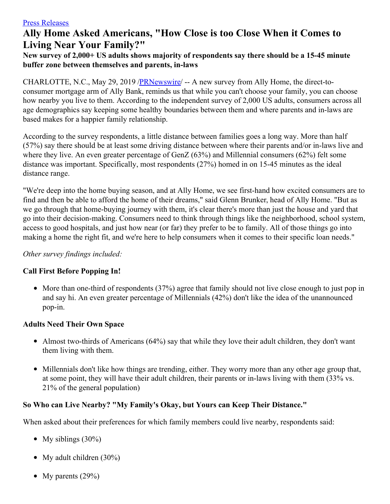# **Ally Home Asked Americans, "How Close is too Close When it Comes to Living Near Your Family?"**

#### **New survey of 2,000+ US adults shows majority of respondents say there should be a 15-45 minute buffer zone between themselves and parents, in-laws**

CHARLOTTE, N.C., May 29, 2019 /**PRNewswire/** -- A new survey from Ally Home, the direct-toconsumer mortgage arm of Ally Bank, reminds us that while you can't choose your family, you can choose how nearby you live to them. According to the independent survey of 2,000 US adults, consumers across all age demographics say keeping some healthy boundaries between them and where parents and in-laws are based makes for a happier family relationship.

According to the survey respondents, a little distance between families goes a long way. More than half (57%) say there should be at least some driving distance between where their parents and/or in-laws live and where they live. An even greater percentage of GenZ (63%) and Millennial consumers (62%) felt some distance was important. Specifically, most respondents (27%) homed in on 15-45 minutes as the ideal distance range.

"We're deep into the home buying season, and at Ally Home, we see first-hand how excited consumers are to find and then be able to afford the home of their dreams," said Glenn Brunker, head of Ally Home. "But as we go through that home-buying journey with them, it's clear there's more than just the house and yard that go into their decision-making. Consumers need to think through things like the neighborhood, school system, access to good hospitals, and just how near (or far) they prefer to be to family. All of those things go into making a home the right fit, and we're here to help consumers when it comes to their specific loan needs."

#### *Other survey findings included:*

## **Call First Before Popping In!**

• More than one-third of respondents (37%) agree that family should not live close enough to just pop in and say hi. An even greater percentage of Millennials (42%) don't like the idea of the unannounced pop-in.

## **Adults Need Their Own Space**

- Almost two-thirds of Americans (64%) say that while they love their adult children, they don't want them living with them.
- Millennials don't like how things are trending, either. They worry more than any other age group that, at some point, they will have their adult children, their parents or in-laws living with them (33% vs. 21% of the general population)

## **So Who can Live Nearby? "My Family's Okay, but Yours can Keep Their Distance."**

When asked about their preferences for which family members could live nearby, respondents said:

- My siblings  $(30\%)$
- My adult children  $(30\%)$
- My parents  $(29\%)$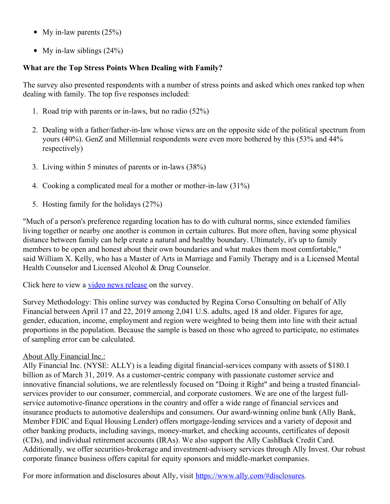- My in-law parents  $(25%)$
- My in-law siblings  $(24%)$

## **What are the Top Stress Points When Dealing with Family?**

The survey also presented respondents with a number of stress points and asked which ones ranked top when dealing with family. The top five responses included:

- 1. Road trip with parents or in-laws, but no radio (52%)
- 2. Dealing with a father/father-in-law whose views are on the opposite side of the political spectrum from yours (40%). GenZ and Millennial respondents were even more bothered by this (53% and 44% respectively)
- 3. Living within 5 minutes of parents or in-laws (38%)
- 4. Cooking a complicated meal for a mother or mother-in-law (31%)
- 5. Hosting family for the holidays (27%)

"Much of a person's preference regarding location has to do with cultural norms, since extended families living together or nearby one another is common in certain cultures. But more often, having some physical distance between family can help create a natural and healthy boundary. Ultimately, it's up to family members to be open and honest about their own boundaries and what makes them most comfortable," said William X. Kelly, who has a Master of Arts in Marriage and Family Therapy and is a Licensed Mental Health Counselor and Licensed Alcohol & Drug Counselor.

Click here to view a video news [release](https://c212.net/c/link/?t=0&l=en&o=2480304-1&h=1203131126&u=https%3A%2F%2Fmedia.ally.com%2Fvideo%2F1655%2Fally_HowCloseIsTooClose_VSOT.mp4&a=video+news+release) on the survey.

Survey Methodology: This online survey was conducted by Regina Corso Consulting on behalf of Ally Financial between April 17 and 22, 2019 among 2,041 U.S. adults, aged 18 and older. Figures for age, gender, education, income, employment and region were weighted to being them into line with their actual proportions in the population. Because the sample is based on those who agreed to participate, no estimates of sampling error can be calculated.

## About Ally Financial Inc.:

Ally Financial Inc. (NYSE: ALLY) is a leading digital financial-services company with assets of \$180.1 billion as of March 31, 2019. As a customer-centric company with passionate customer service and innovative financial solutions, we are relentlessly focused on "Doing it Right" and being a trusted financialservices provider to our consumer, commercial, and corporate customers. We are one of the largest fullservice automotive-finance operations in the country and offer a wide range of financial services and insurance products to automotive dealerships and consumers. Our award-winning online bank (Ally Bank, Member FDIC and Equal Housing Lender) offers mortgage-lending services and a variety of deposit and other banking products, including savings, money-market, and checking accounts, certificates of deposit (CDs), and individual retirement accounts (IRAs). We also support the Ally CashBack Credit Card. Additionally, we offer securities-brokerage and investment-advisory services through Ally Invest. Our robust corporate finance business offers capital for equity sponsors and middle-market companies.

For more information and disclosures about Ally, visit [https://www.ally.com/#disclosures](https://c212.net/c/link/?t=0&l=en&o=2480304-1&h=3752017726&u=https%3A%2F%2Fwww.ally.com%2F%23disclosures&a=https%3A%2F%2Fwww.ally.com%2F%23disclosures).